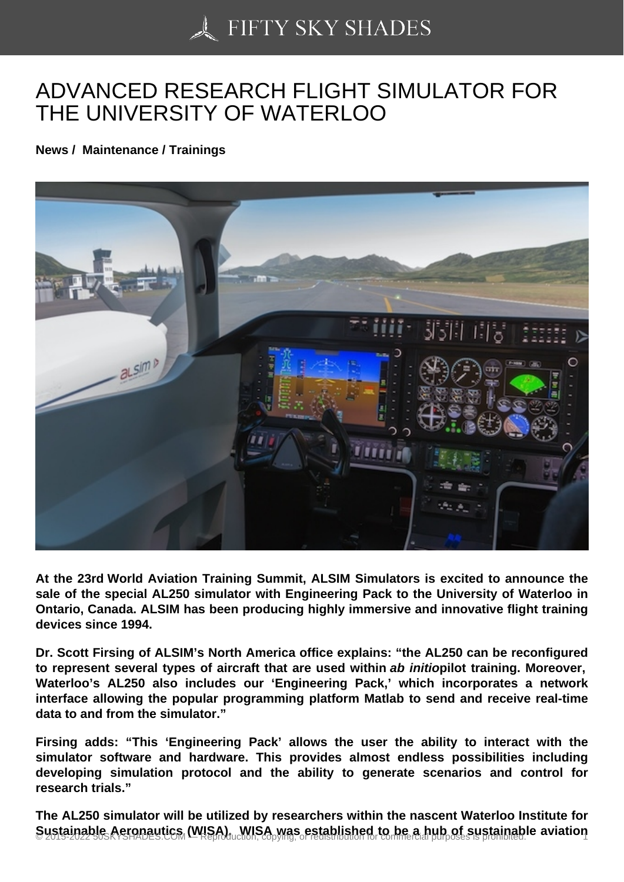## [ADVANCED RESEARC](https://50skyshades.com)H FLIGHT SIMULATOR FOR THE UNIVERSITY OF WATERLOO

News / Maintenance / Trainings

At the 23rd World Aviation Training Summit, ALSIM Simulators is excited to announce the sale of the special AL250 simulator with Engineering Pack to the University of Waterloo in Ontario, Canada. ALSIM has been producing highly immersive and innovative flight training devices since 1994.

Dr. Scott Firsing of ALSIM's North America office explains: "the AL250 can be reconfigured to represent several types of aircraft that are used within ab initio pilot training. Moreover, Waterloo's AL250 also includes our 'Engineering Pack,' which incorporates a network interface allowing the popular programming platform Matlab to send and receive real-time data to and from the simulator."

Firsing adds: "This 'Engineering Pack' allows the user the ability to interact with the simulator software and hardware. This provides almost endless possibilities including developing simulation protocol and the ability to generate scenarios and control for research trials."

The AL250 simulator will be utilized by researchers within the nascent Waterloo Institute for  $S$ ustainable Aeronautics (WISA). WISA was established to be a hub of sustainable aviation